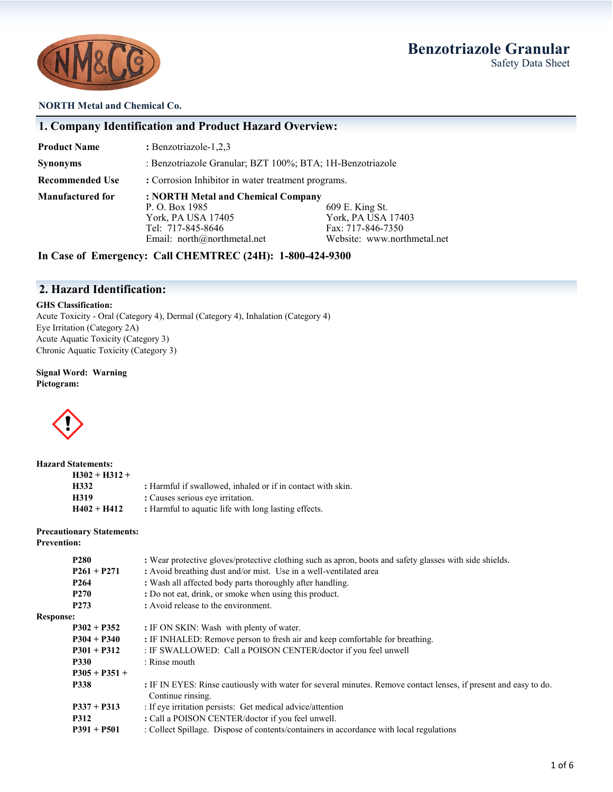## **Benzotriazole Granular**  Safety Data Sheet



#### **NORTH Metal and Chemical Co.**

### **1. Company Identification and Product Hazard Overview:**

| <b>Product Name</b>     | : Benzotriazole-1,2,3                                     |                             |  |
|-------------------------|-----------------------------------------------------------|-----------------------------|--|
| <b>Synonyms</b>         | : Benzotriazole Granular; BZT 100%; BTA; 1H-Benzotriazole |                             |  |
| <b>Recommended Use</b>  | : Corrosion Inhibitor in water treatment programs.        |                             |  |
| <b>Manufactured for</b> | : NORTH Metal and Chemical Company                        |                             |  |
|                         | P. O. Box 1985                                            | 609 E. King St.             |  |
|                         | York, PA USA 17405                                        | York, PA USA 17403          |  |
|                         | Tel: 717-845-8646                                         | Fax: 717-846-7350           |  |
|                         | Email: north@northmetal.net                               | Website: www.northmetal.net |  |

**In Case of Emergency: Call CHEMTREC (24H): 1-800-424-9300**

### **2. Hazard Identification:**

#### **GHS Classification:**

Acute Toxicity - Oral (Category 4), Dermal (Category 4), Inhalation (Category 4) Eye Irritation (Category 2A) Acute Aquatic Toxicity (Category 3) Chronic Aquatic Toxicity (Category 3)

#### **Signal Word: Warning Pictogram:**



| <b>Hazard Statements:</b> |                                                             |
|---------------------------|-------------------------------------------------------------|
| $H302 + H312 +$           |                                                             |
| H332                      | : Harmful if swallowed, inhaled or if in contact with skin. |
| H319                      | : Causes serious eye irritation.                            |
| $H402 + H412$             | : Harmful to aquatic life with long lasting effects.        |

### **Precautionary Statements:**

**Prevention:**

|                  | <b>P280</b>      | : Wear protective gloves/protective clothing such as apron, boots and safety glasses with side shields.                               |
|------------------|------------------|---------------------------------------------------------------------------------------------------------------------------------------|
|                  | $P261 + P271$    | : Avoid breathing dust and/or mist. Use in a well-ventilated area                                                                     |
|                  | P <sub>264</sub> | : Wash all affected body parts thoroughly after handling.                                                                             |
|                  | P <sub>270</sub> | : Do not eat, drink, or smoke when using this product.                                                                                |
|                  | P <sub>273</sub> | : Avoid release to the environment.                                                                                                   |
| <b>Response:</b> |                  |                                                                                                                                       |
|                  | $P302 + P352$    | : IF ON SKIN: Wash with plenty of water.                                                                                              |
|                  | $P304 + P340$    | : IF INHALED: Remove person to fresh air and keep comfortable for breathing.                                                          |
|                  | $P301 + P312$    | : IF SWALLOWED: Call a POISON CENTER/doctor if you feel unwell                                                                        |
|                  | <b>P330</b>      | : Rinse mouth                                                                                                                         |
|                  | $P305 + P351 +$  |                                                                                                                                       |
|                  | P338             | : IF IN EYES: Rinse cautiously with water for several minutes. Remove contact lenses, if present and easy to do.<br>Continue rinsing. |
|                  | $P337 + P313$    | : If eye irritation persists: Get medical advice/attention                                                                            |
|                  | <b>P312</b>      | : Call a POISON CENTER/doctor if you feel unwell.                                                                                     |
|                  | $P391 + P501$    | : Collect Spillage. Dispose of contents/containers in accordance with local regulations                                               |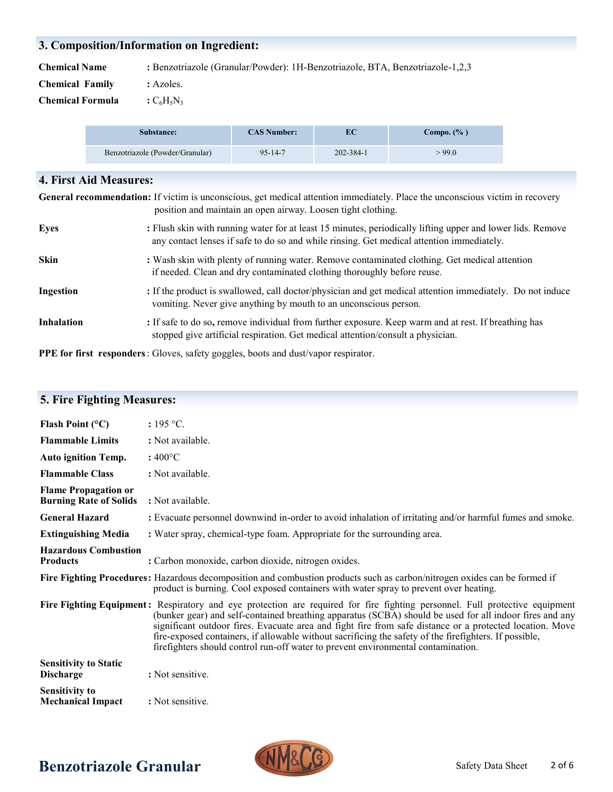## **3. Composition/Information on Ingredient:**

**Chemical Name :** Benzotriazole (Granular/Powder): 1H-Benzotriazole, BTA, Benzotriazole-1,2,3

- **Chemical Family :** Azoles.
- **Chemical Formula**  $:C_6H_5N_3$

**5. Fire Fighting Measures:** 

| Substance:                      | <b>CAS Number:</b> | ЕC        | Compo. $(\% )$ |
|---------------------------------|--------------------|-----------|----------------|
| Benzotriazole (Powder/Granular) | $95 - 14 - 7$      | 202-384-1 | >99.0          |

| <b>4. First Aid Measures:</b> |                                                                                                                                                                                                         |  |
|-------------------------------|---------------------------------------------------------------------------------------------------------------------------------------------------------------------------------------------------------|--|
|                               | General recommendation: If victim is unconscious, get medical attention immediately. Place the unconscious victim in recovery<br>position and maintain an open airway. Loosen tight clothing.           |  |
| Eyes                          | : Flush skin with running water for at least 15 minutes, periodically lifting upper and lower lids. Remove<br>any contact lenses if safe to do so and while rinsing. Get medical attention immediately. |  |
| <b>Skin</b>                   | : Wash skin with plenty of running water. Remove contaminated clothing. Get medical attention<br>if needed. Clean and dry contaminated clothing thoroughly before reuse.                                |  |
| Ingestion                     | : If the product is swallowed, call doctor/physician and get medical attention immediately. Do not induce<br>vomiting. Never give anything by mouth to an unconscious person.                           |  |
| <b>Inhalation</b>             | : If safe to do so, remove individual from further exposure. Keep warm and at rest. If breathing has<br>stopped give artificial respiration. Get medical attention/consult a physician.                 |  |

**PPE for first responders**: Gloves, safety goggles, boots and dust/vapor respirator.

| Flash Point $(^{\circ}C)$                                    | : 195 °C.                                                                                                                                                                                                                                                                                                                                                                                                                                                                                                                                         |
|--------------------------------------------------------------|---------------------------------------------------------------------------------------------------------------------------------------------------------------------------------------------------------------------------------------------------------------------------------------------------------------------------------------------------------------------------------------------------------------------------------------------------------------------------------------------------------------------------------------------------|
| <b>Flammable Limits</b>                                      | : Not available.                                                                                                                                                                                                                                                                                                                                                                                                                                                                                                                                  |
| <b>Auto ignition Temp.</b>                                   | $:400^{\circ}$ C                                                                                                                                                                                                                                                                                                                                                                                                                                                                                                                                  |
| <b>Flammable Class</b>                                       | : Not available.                                                                                                                                                                                                                                                                                                                                                                                                                                                                                                                                  |
| <b>Flame Propagation or</b><br><b>Burning Rate of Solids</b> | : Not available.                                                                                                                                                                                                                                                                                                                                                                                                                                                                                                                                  |
| <b>General Hazard</b>                                        | : Evacuate personnel downwind in-order to avoid inhalation of irritating and/or harmful fumes and smoke.                                                                                                                                                                                                                                                                                                                                                                                                                                          |
| <b>Extinguishing Media</b>                                   | : Water spray, chemical-type foam. Appropriate for the surrounding area.                                                                                                                                                                                                                                                                                                                                                                                                                                                                          |
| <b>Hazardous Combustion</b><br><b>Products</b>               | : Carbon monoxide, carbon dioxide, nitrogen oxides.                                                                                                                                                                                                                                                                                                                                                                                                                                                                                               |
|                                                              | Fire Fighting Procedures: Hazardous decomposition and combustion products such as carbon/nitrogen oxides can be formed if<br>product is burning. Cool exposed containers with water spray to prevent over heating.                                                                                                                                                                                                                                                                                                                                |
|                                                              | Fire Fighting Equipment: Respiratory and eye protection are required for fire fighting personnel. Full protective equipment<br>(bunker gear) and self-contained breathing apparatus (SCBA) should be used for all indoor fires and any<br>significant outdoor fires. Evacuate area and fight fire from safe distance or a protected location. Move<br>fire-exposed containers, if allowable without sacrificing the safety of the firefighters. If possible,<br>firefighters should control run-off water to prevent environmental contamination. |
| <b>Sensitivity to Static</b><br><b>Discharge</b>             | : Not sensitive.                                                                                                                                                                                                                                                                                                                                                                                                                                                                                                                                  |
| <b>Sensitivity to</b><br><b>Mechanical Impact</b>            | : Not sensitive.                                                                                                                                                                                                                                                                                                                                                                                                                                                                                                                                  |

# **Benzotriazole Granular CONTIGUY** Safety Data Sheet

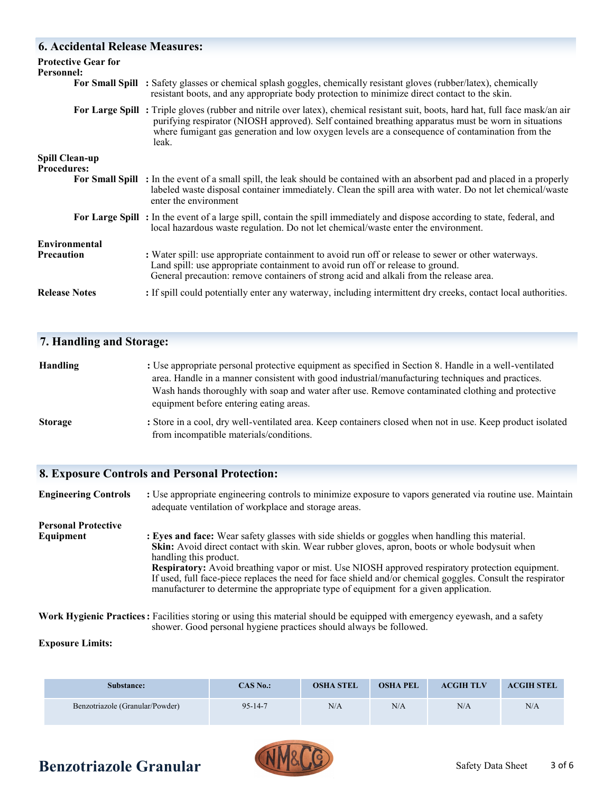### **6. Accidental Release Measures:**

| <b>Protective Gear for</b><br>Personnel:    | For Small Spill : Safety glasses or chemical splash goggles, chemically resistant gloves (rubber/latex), chemically                                                                                                                                                             |
|---------------------------------------------|---------------------------------------------------------------------------------------------------------------------------------------------------------------------------------------------------------------------------------------------------------------------------------|
|                                             | resistant boots, and any appropriate body protection to minimize direct contact to the skin.<br>For Large Spill: Triple gloves (rubber and nitrile over latex), chemical resistant suit, boots, hard hat, full face mask/an air                                                 |
|                                             | purifying respirator (NIOSH approved). Self contained breathing apparatus must be worn in situations<br>where fumigant gas generation and low oxygen levels are a consequence of contamination from the<br>leak.                                                                |
| <b>Spill Clean-up</b><br><b>Procedures:</b> |                                                                                                                                                                                                                                                                                 |
|                                             | <b>For Small Spill</b> : In the event of a small spill, the leak should be contained with an absorbent pad and placed in a properly<br>labeled waste disposal container immediately. Clean the spill area with water. Do not let chemical/waste<br>enter the environment        |
|                                             | For Large Spill: In the event of a large spill, contain the spill immediately and dispose according to state, federal, and<br>local hazardous waste regulation. Do not let chemical/waste enter the environment.                                                                |
| Environmental                               |                                                                                                                                                                                                                                                                                 |
| <b>Precaution</b>                           | : Water spill: use appropriate containment to avoid run off or release to sewer or other waterways.<br>Land spill: use appropriate containment to avoid run off or release to ground.<br>General precaution: remove containers of strong acid and alkali from the release area. |
| <b>Release Notes</b>                        | : If spill could potentially enter any waterway, including intermittent dry creeks, contact local authorities.                                                                                                                                                                  |

### **7. Handling and Storage:**

| <b>Handling</b> | : Use appropriate personal protective equipment as specified in Section 8. Handle in a well-ventilated                                                |
|-----------------|-------------------------------------------------------------------------------------------------------------------------------------------------------|
|                 | area. Handle in a manner consistent with good industrial/manufacturing techniques and practices.                                                      |
|                 | Wash hands thoroughly with soap and water after use. Remove contaminated clothing and protective<br>equipment before entering eating areas.           |
| <b>Storage</b>  | : Store in a cool, dry well-ventilated area. Keep containers closed when not in use. Keep product isolated<br>from incompatible materials/conditions. |

### **8. Exposure Controls and Personal Protection:**

**Engineering Controls :** Use appropriate engineering controls to minimize exposure to vapors generated via routine use. Maintain adequate ventilation of workplace and storage areas. **Personal Protective Equipment** : Eyes and face: Wear safety glasses with side shields or goggles when handling this material. **Skin:** Avoid direct contact with skin. Wear rubber gloves, apron, boots or whole bodysuit when handling this product. **Respiratory:** Avoid breathing vapor or mist. Use NIOSH approved respiratory protection equipment. If used, full face-piece replaces the need for face shield and/or chemical goggles. Consult the respirator manufacturer to determine the appropriate type of equipment for a given application.

**Work Hygienic Practices:** Facilities storing or using this material should be equipped with emergency eyewash, and a safety shower. Good personal hygiene practices should always be followed.

#### **Exposure Limits:**

| Substance:                      | CAS No.: | <b>OSHA STEL</b> | <b>OSHA PEL</b> | <b>ACGIH TLV</b> | <b>ACGIH STEL</b> |
|---------------------------------|----------|------------------|-----------------|------------------|-------------------|
| Benzotriazole (Granular/Powder) | 95-14-7  | N/A              | N/A             | N/A              | N/A               |

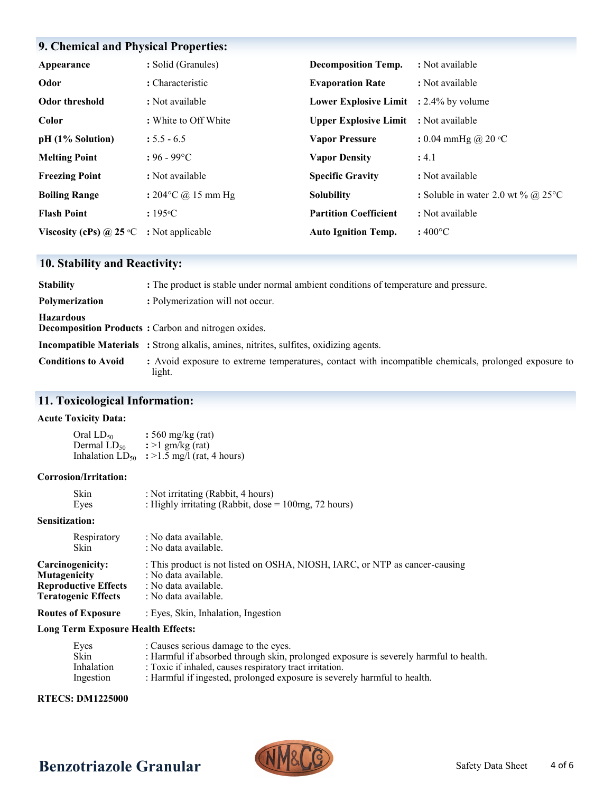## **9. Chemical and Physical Properties:**

| Appearance                       | : Solid (Granules)           | <b>Decomposition Temp.</b>                    | : Not available                     |
|----------------------------------|------------------------------|-----------------------------------------------|-------------------------------------|
| Odor                             | : Characteristic             | <b>Evaporation Rate</b>                       | : Not available                     |
| Odor threshold                   | : Not available              | <b>Lower Explosive Limit</b> : 2.4% by volume |                                     |
| Color                            | : White to Off White         | <b>Upper Explosive Limit</b>                  | : Not available                     |
| $pH (1%$ Solution)               | $: 5.5 - 6.5$                | <b>Vapor Pressure</b>                         | : 0.04 mmHg @ 20 $\degree$ C        |
| <b>Melting Point</b>             | $: 96 - 99$ °C               | <b>Vapor Density</b>                          | : 4.1                               |
| <b>Freezing Point</b>            | : Not available              | <b>Specific Gravity</b>                       | : Not available                     |
| <b>Boiling Range</b>             | : $204^{\circ}$ C @ 15 mm Hg | <b>Solubility</b>                             | : Soluble in water 2.0 wt % @ 25 °C |
| <b>Flash Point</b>               | $: 195^{\circ}C$             | <b>Partition Coefficient</b>                  | : Not available                     |
| Viscosity (cPs) @ 25 $\degree$ C | : Not applicable             | <b>Auto Ignition Temp.</b>                    | $:400^{\circ}$ C                    |

## **10. Stability and Reactivity:**

| <b>Stability</b>           | : The product is stable under normal ambient conditions of temperature and pressure.                           |
|----------------------------|----------------------------------------------------------------------------------------------------------------|
| Polymerization             | : Polymerization will not occur.                                                                               |
| <b>Hazardous</b>           | <b>Decomposition Products:</b> Carbon and nitrogen oxides.                                                     |
|                            | <b>Incompatible Materials</b> : Strong alkalis, amines, nitrites, sulfites, oxidizing agents.                  |
| <b>Conditions to Avoid</b> | : Avoid exposure to extreme temperatures, contact with incompatible chemicals, prolonged exposure to<br>light. |

### **11. Toxicological Information:**

#### **Acute Toxicity Data:**

Oral LD<sup>50</sup> **:** 560 mg/kg (rat) Dermal  $LD_{50}$   $\therefore$  >1 gm/kg (rat) Inhalation  $LD_{50}$  : >1.5 mg/l (rat, 4 hours)

#### **Corrosion/Irritation:**

| Skin | : Not irritating (Rabbit, 4 hours)                      |
|------|---------------------------------------------------------|
| Eyes | : Highly irritating (Rabbit, dose $= 100$ mg, 72 hours) |

#### **Sensitization:**

| Respiratory                 | : No data available.                                                        |
|-----------------------------|-----------------------------------------------------------------------------|
| <b>Skin</b>                 | : No data available.                                                        |
| Carcinogenicity:            | : This product is not listed on OSHA, NIOSH, IARC, or NTP as cancer-causing |
| <b>Mutagenicity</b>         | : No data available.                                                        |
| <b>Reproductive Effects</b> | : No data available.                                                        |
| <b>Teratogenic Effects</b>  | : No data available.                                                        |
| <b>Routes of Exposure</b>   | : Eyes, Skin, Inhalation, Ingestion                                         |

#### **Long Term Exposure Health Effects:**

| Eyes              | : Causes serious damage to the eyes.                                                  |
|-------------------|---------------------------------------------------------------------------------------|
| Skin              | : Harmful if absorbed through skin, prolonged exposure is severely harmful to health. |
| <b>Inhalation</b> | : Toxic if inhaled, causes respiratory tract irritation.                              |
| Ingestion         | : Harmful if ingested, prolonged exposure is severely harmful to health.              |

### **RTECS: DM1225000**

# **Benzotriazole Granular MMGLLC** Safety Data Sheet

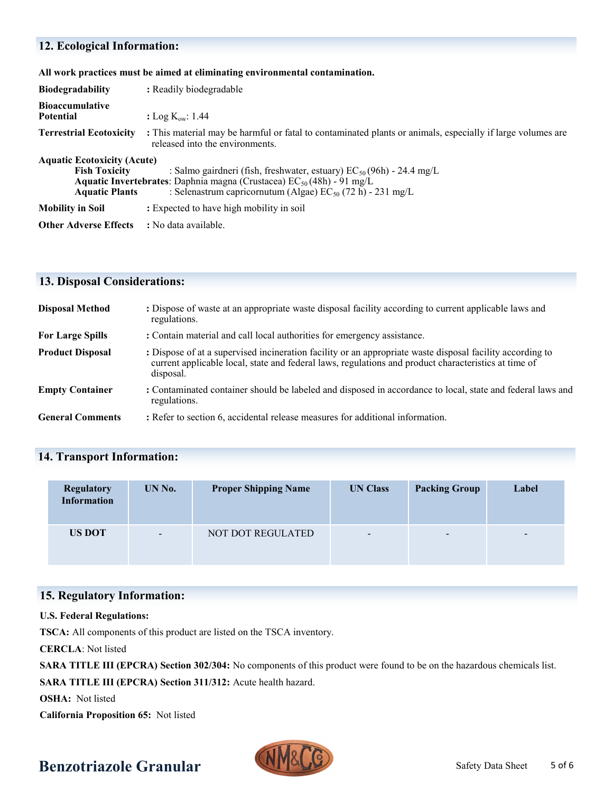# **12. Ecological Information:**

|  |  |  | All work practices must be aimed at eliminating environmental contamination. |
|--|--|--|------------------------------------------------------------------------------|
|  |  |  |                                                                              |

| <b>Biodegradability</b>                                                             | : Readily biodegradable                                                                                                                                                                                                         |  |  |
|-------------------------------------------------------------------------------------|---------------------------------------------------------------------------------------------------------------------------------------------------------------------------------------------------------------------------------|--|--|
| Bioaccumulative<br>Potential                                                        | : Log $K_{ow}: 1.44$                                                                                                                                                                                                            |  |  |
| <b>Terrestrial Ecotoxicity</b>                                                      | : This material may be harmful or fatal to contaminated plants or animals, especially if large volumes are<br>released into the environments.                                                                                   |  |  |
| <b>Aquatic Ecotoxicity (Acute)</b><br><b>Fish Toxicity</b><br><b>Aquatic Plants</b> | : Salmo gairdneri (fish, freshwater, estuary) $EC_{50}(96h)$ - 24.4 mg/L<br><b>Aquatic Invertebrates:</b> Daphnia magna (Crustacea) $EC_{50}(48h)$ - 91 mg/L<br>: Selenastrum capricornutum (Algae) $EC_{50}$ (72 h) - 231 mg/L |  |  |
| Mobility in Soil                                                                    | : Expected to have high mobility in soil                                                                                                                                                                                        |  |  |
| Other Adverse Effects                                                               | : No data available.                                                                                                                                                                                                            |  |  |

## **13. Disposal Considerations:**

| <b>Disposal Method</b>  | : Dispose of waste at an appropriate waste disposal facility according to current applicable laws and<br>regulations.                                                                                                          |
|-------------------------|--------------------------------------------------------------------------------------------------------------------------------------------------------------------------------------------------------------------------------|
| <b>For Large Spills</b> | : Contain material and call local authorities for emergency assistance.                                                                                                                                                        |
| <b>Product Disposal</b> | : Dispose of at a supervised incineration facility or an appropriate waste disposal facility according to<br>current applicable local, state and federal laws, regulations and product characteristics at time of<br>disposal. |
| <b>Empty Container</b>  | : Contaminated container should be labeled and disposed in accordance to local, state and federal laws and<br>regulations.                                                                                                     |
| <b>General Comments</b> | : Refer to section 6, accidental release measures for additional information.                                                                                                                                                  |

# **14. Transport Information:**

| <b>Regulatory</b><br><b>Information</b> | UN No.                   | <b>Proper Shipping Name</b> | <b>UN Class</b>          | <b>Packing Group</b>     | Label  |
|-----------------------------------------|--------------------------|-----------------------------|--------------------------|--------------------------|--------|
| <b>US DOT</b>                           | $\overline{\phantom{a}}$ | NOT DOT REGULATED           | $\overline{\phantom{a}}$ | $\overline{\phantom{a}}$ | $\sim$ |

### **15. Regulatory Information:**

#### **U.S. Federal Regulations:**

**TSCA:** All components of this product are listed on the TSCA inventory.

**CERCLA**: Not listed

**SARA TITLE III (EPCRA) Section 302/304:** No components of this product were found to be on the hazardous chemicals list.

**SARA TITLE III (EPCRA) Section 311/312:** Acute health hazard.

**OSHA:** Not listed

**California Proposition 65:** Not listed

# **Benzotriazole Granular Computer States** Safety Data Sheet